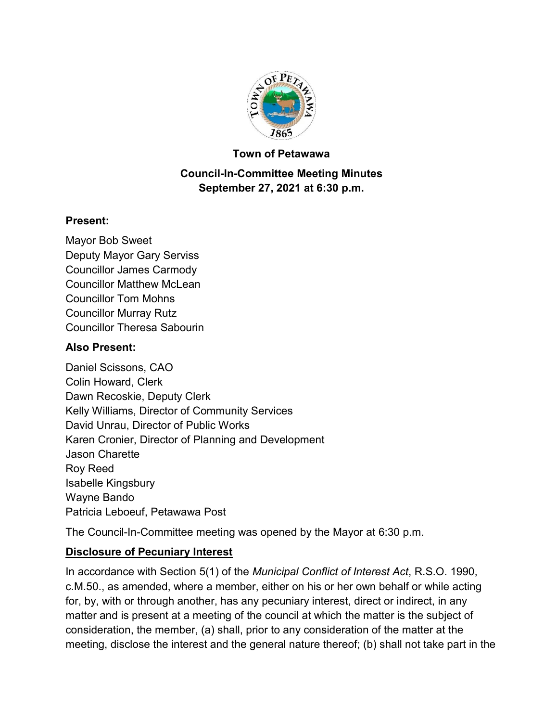

#### **Town of Petawawa**

## **Council-In-Committee Meeting Minutes September 27, 2021 at 6:30 p.m.**

#### **Present:**

Mayor Bob Sweet Deputy Mayor Gary Serviss Councillor James Carmody Councillor Matthew McLean Councillor Tom Mohns Councillor Murray Rutz Councillor Theresa Sabourin

#### **Also Present:**

Daniel Scissons, CAO Colin Howard, Clerk Dawn Recoskie, Deputy Clerk Kelly Williams, Director of Community Services David Unrau, Director of Public Works Karen Cronier, Director of Planning and Development Jason Charette Roy Reed Isabelle Kingsbury Wayne Bando Patricia Leboeuf, Petawawa Post

The Council-In-Committee meeting was opened by the Mayor at 6:30 p.m.

# **Disclosure of Pecuniary Interest**

In accordance with Section 5(1) of the *Municipal Conflict of Interest Act*, R.S.O. 1990, c.M.50., as amended, where a member, either on his or her own behalf or while acting for, by, with or through another, has any pecuniary interest, direct or indirect, in any matter and is present at a meeting of the council at which the matter is the subject of consideration, the member, (a) shall, prior to any consideration of the matter at the meeting, disclose the interest and the general nature thereof; (b) shall not take part in the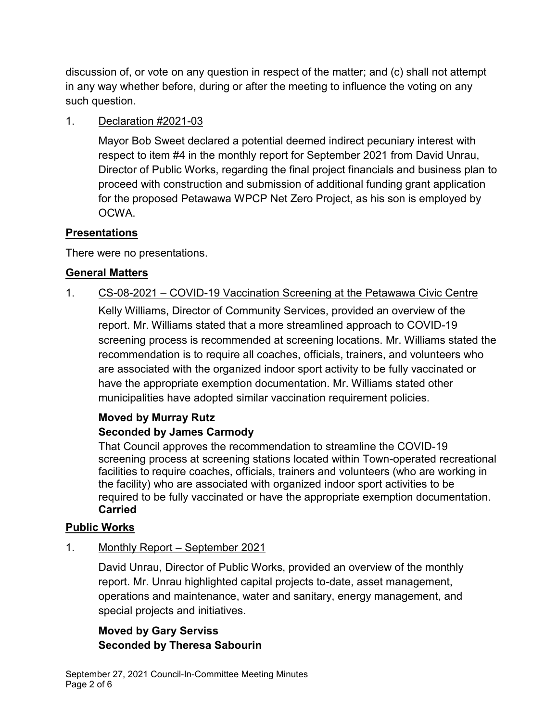discussion of, or vote on any question in respect of the matter; and (c) shall not attempt in any way whether before, during or after the meeting to influence the voting on any such question.

## 1. Declaration #2021-03

Mayor Bob Sweet declared a potential deemed indirect pecuniary interest with respect to item #4 in the monthly report for September 2021 from David Unrau, Director of Public Works, regarding the final project financials and business plan to proceed with construction and submission of additional funding grant application for the proposed Petawawa WPCP Net Zero Project, as his son is employed by OCWA.

# **Presentations**

There were no presentations.

## **General Matters**

## 1. CS-08-2021 – COVID-19 Vaccination Screening at the Petawawa Civic Centre

Kelly Williams, Director of Community Services, provided an overview of the report. Mr. Williams stated that a more streamlined approach to COVID-19 screening process is recommended at screening locations. Mr. Williams stated the recommendation is to require all coaches, officials, trainers, and volunteers who are associated with the organized indoor sport activity to be fully vaccinated or have the appropriate exemption documentation. Mr. Williams stated other municipalities have adopted similar vaccination requirement policies.

# **Moved by Murray Rutz**

#### **Seconded by James Carmody**

That Council approves the recommendation to streamline the COVID-19 screening process at screening stations located within Town-operated recreational facilities to require coaches, officials, trainers and volunteers (who are working in the facility) who are associated with organized indoor sport activities to be required to be fully vaccinated or have the appropriate exemption documentation. **Carried**

#### **Public Works**

1. Monthly Report – September 2021

David Unrau, Director of Public Works, provided an overview of the monthly report. Mr. Unrau highlighted capital projects to-date, asset management, operations and maintenance, water and sanitary, energy management, and special projects and initiatives.

# **Moved by Gary Serviss Seconded by Theresa Sabourin**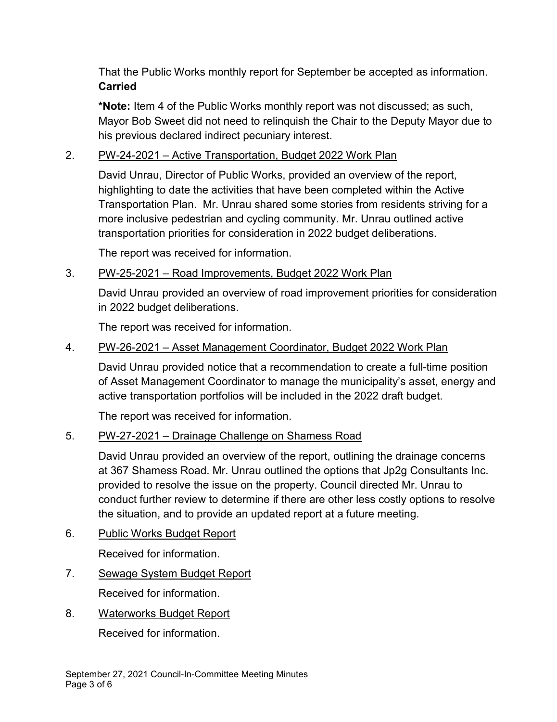That the Public Works monthly report for September be accepted as information. **Carried**

**\*Note:** Item 4 of the Public Works monthly report was not discussed; as such, Mayor Bob Sweet did not need to relinquish the Chair to the Deputy Mayor due to his previous declared indirect pecuniary interest.

## 2. PW-24-2021 – Active Transportation, Budget 2022 Work Plan

David Unrau, Director of Public Works, provided an overview of the report, highlighting to date the activities that have been completed within the Active Transportation Plan. Mr. Unrau shared some stories from residents striving for a more inclusive pedestrian and cycling community. Mr. Unrau outlined active transportation priorities for consideration in 2022 budget deliberations.

The report was received for information.

## 3. PW-25-2021 – Road Improvements, Budget 2022 Work Plan

David Unrau provided an overview of road improvement priorities for consideration in 2022 budget deliberations.

The report was received for information.

## 4. PW-26-2021 – Asset Management Coordinator, Budget 2022 Work Plan

David Unrau provided notice that a recommendation to create a full-time position of Asset Management Coordinator to manage the municipality's asset, energy and active transportation portfolios will be included in the 2022 draft budget.

The report was received for information.

# 5. PW-27-2021 – Drainage Challenge on Shamess Road

David Unrau provided an overview of the report, outlining the drainage concerns at 367 Shamess Road. Mr. Unrau outlined the options that Jp2g Consultants Inc. provided to resolve the issue on the property. Council directed Mr. Unrau to conduct further review to determine if there are other less costly options to resolve the situation, and to provide an updated report at a future meeting.

- 6. Public Works Budget Report Received for information.
- 7. Sewage System Budget Report Received for information.
- 8. Waterworks Budget Report

Received for information.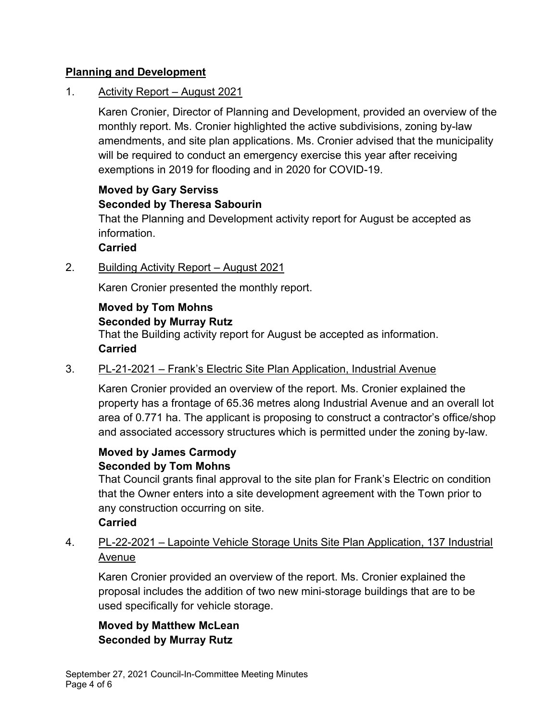## **Planning and Development**

## 1. Activity Report – August 2021

Karen Cronier, Director of Planning and Development, provided an overview of the monthly report. Ms. Cronier highlighted the active subdivisions, zoning by-law amendments, and site plan applications. Ms. Cronier advised that the municipality will be required to conduct an emergency exercise this year after receiving exemptions in 2019 for flooding and in 2020 for COVID-19.

# **Moved by Gary Serviss Seconded by Theresa Sabourin**

That the Planning and Development activity report for August be accepted as information.

## **Carried**

2. Building Activity Report – August 2021

Karen Cronier presented the monthly report.

# **Moved by Tom Mohns**

# **Seconded by Murray Rutz**

That the Building activity report for August be accepted as information. **Carried**

#### 3. PL-21-2021 – Frank's Electric Site Plan Application, Industrial Avenue

Karen Cronier provided an overview of the report. Ms. Cronier explained the property has a frontage of 65.36 metres along Industrial Avenue and an overall lot area of 0.771 ha. The applicant is proposing to construct a contractor's office/shop and associated accessory structures which is permitted under the zoning by-law.

#### **Moved by James Carmody Seconded by Tom Mohns**

That Council grants final approval to the site plan for Frank's Electric on condition that the Owner enters into a site development agreement with the Town prior to any construction occurring on site.

## **Carried**

# 4. PL-22-2021 – Lapointe Vehicle Storage Units Site Plan Application, 137 Industrial Avenue

Karen Cronier provided an overview of the report. Ms. Cronier explained the proposal includes the addition of two new mini-storage buildings that are to be used specifically for vehicle storage.

**Moved by Matthew McLean Seconded by Murray Rutz**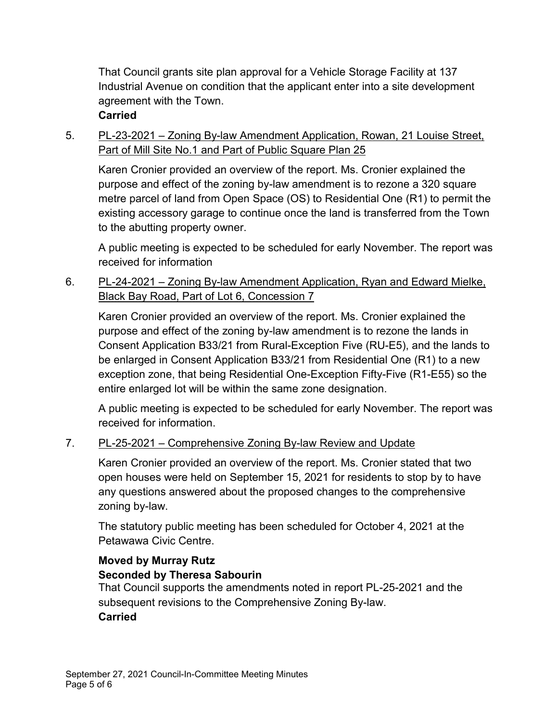That Council grants site plan approval for a Vehicle Storage Facility at 137 Industrial Avenue on condition that the applicant enter into a site development agreement with the Town.

#### **Carried**

5. PL-23-2021 – Zoning By-law Amendment Application, Rowan, 21 Louise Street, Part of Mill Site No.1 and Part of Public Square Plan 25

Karen Cronier provided an overview of the report. Ms. Cronier explained the purpose and effect of the zoning by-law amendment is to rezone a 320 square metre parcel of land from Open Space (OS) to Residential One (R1) to permit the existing accessory garage to continue once the land is transferred from the Town to the abutting property owner.

A public meeting is expected to be scheduled for early November. The report was received for information

6. PL-24-2021 – Zoning By-law Amendment Application, Ryan and Edward Mielke, Black Bay Road, Part of Lot 6, Concession 7

Karen Cronier provided an overview of the report. Ms. Cronier explained the purpose and effect of the zoning by-law amendment is to rezone the lands in Consent Application B33/21 from Rural-Exception Five (RU-E5), and the lands to be enlarged in Consent Application B33/21 from Residential One (R1) to a new exception zone, that being Residential One-Exception Fifty-Five (R1-E55) so the entire enlarged lot will be within the same zone designation.

A public meeting is expected to be scheduled for early November. The report was received for information.

#### 7. PL-25-2021 – Comprehensive Zoning By-law Review and Update

Karen Cronier provided an overview of the report. Ms. Cronier stated that two open houses were held on September 15, 2021 for residents to stop by to have any questions answered about the proposed changes to the comprehensive zoning by-law.

The statutory public meeting has been scheduled for October 4, 2021 at the Petawawa Civic Centre.

## **Moved by Murray Rutz Seconded by Theresa Sabourin**

That Council supports the amendments noted in report PL-25-2021 and the subsequent revisions to the Comprehensive Zoning By-law. **Carried**